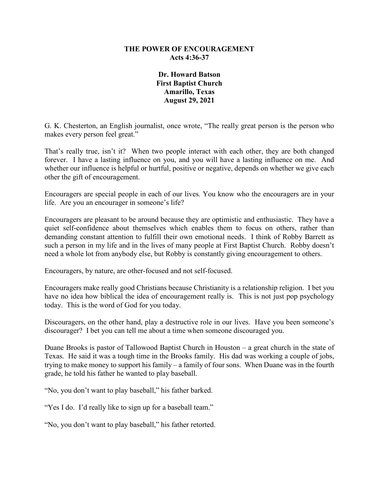### **THE POWER OF ENCOURAGEMENT Acts 4:36-37**

**Dr. Howard Batson First Baptist Church Amarillo, Texas August 29, 2021**

G. K. Chesterton, an English journalist, once wrote, "The really great person is the person who makes every person feel great."

That's really true, isn't it? When two people interact with each other, they are both changed forever. I have a lasting influence on you, and you will have a lasting influence on me. And whether our influence is helpful or hurtful, positive or negative, depends on whether we give each other the gift of encouragement.

Encouragers are special people in each of our lives. You know who the encouragers are in your life. Are you an encourager in someone's life?

Encouragers are pleasant to be around because they are optimistic and enthusiastic. They have a quiet self-confidence about themselves which enables them to focus on others, rather than demanding constant attention to fulfill their own emotional needs. I think of Robby Barrett as such a person in my life and in the lives of many people at First Baptist Church. Robby doesn't need a whole lot from anybody else, but Robby is constantly giving encouragement to others.

Encouragers, by nature, are other-focused and not self-focused.

Encouragers make really good Christians because Christianity is a relationship religion. I bet you have no idea how biblical the idea of encouragement really is. This is not just pop psychology today. This is the word of God for you today.

Discouragers, on the other hand, play a destructive role in our lives. Have you been someone's discourager? I bet you can tell me about a time when someone discouraged you.

Duane Brooks is pastor of Tallowood Baptist Church in Houston – a great church in the state of Texas. He said it was a tough time in the Brooks family. His dad was working a couple of jobs, trying to make money to support his family – a family of four sons. When Duane was in the fourth grade, he told his father he wanted to play baseball.

"No, you don't want to play baseball," his father barked.

"Yes I do. I'd really like to sign up for a baseball team."

"No, you don't want to play baseball," his father retorted.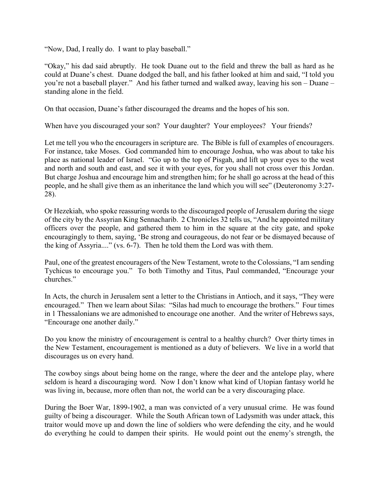"Now, Dad, I really do. I want to play baseball."

"Okay," his dad said abruptly. He took Duane out to the field and threw the ball as hard as he could at Duane's chest. Duane dodged the ball, and his father looked at him and said, "I told you you're not a baseball player." And his father turned and walked away, leaving his son – Duane – standing alone in the field.

On that occasion, Duane's father discouraged the dreams and the hopes of his son.

When have you discouraged your son? Your daughter? Your employees? Your friends?

Let me tell you who the encouragers in scripture are. The Bible is full of examples of encouragers. For instance, take Moses. God commanded him to encourage Joshua, who was about to take his place as national leader of Israel. "Go up to the top of Pisgah, and lift up your eyes to the west and north and south and east, and see it with your eyes, for you shall not cross over this Jordan. But charge Joshua and encourage him and strengthen him; for he shall go across at the head of this people, and he shall give them as an inheritance the land which you will see" (Deuteronomy 3:27- 28).

Or Hezekiah, who spoke reassuring words to the discouraged people of Jerusalem during the siege of the city by the Assyrian King Sennacharib. 2 Chronicles 32 tells us, "And he appointed military officers over the people, and gathered them to him in the square at the city gate, and spoke encouragingly to them, saying, 'Be strong and courageous, do not fear or be dismayed because of the king of Assyria...." (vs. 6-7). Then he told them the Lord was with them.

Paul, one of the greatest encouragers of the New Testament, wrote to the Colossians, "I am sending Tychicus to encourage you." To both Timothy and Titus, Paul commanded, "Encourage your churches."

In Acts, the church in Jerusalem sent a letter to the Christians in Antioch, and it says, "They were encouraged." Then we learn about Silas: "Silas had much to encourage the brothers." Four times in 1 Thessalonians we are admonished to encourage one another. And the writer of Hebrews says, "Encourage one another daily."

Do you know the ministry of encouragement is central to a healthy church? Over thirty times in the New Testament, encouragement is mentioned as a duty of believers. We live in a world that discourages us on every hand.

The cowboy sings about being home on the range, where the deer and the antelope play, where seldom is heard a discouraging word. Now I don't know what kind of Utopian fantasy world he was living in, because, more often than not, the world can be a very discouraging place.

During the Boer War, 1899-1902, a man was convicted of a very unusual crime. He was found guilty of being a discourager. While the South African town of Ladysmith was under attack, this traitor would move up and down the line of soldiers who were defending the city, and he would do everything he could to dampen their spirits. He would point out the enemy's strength, the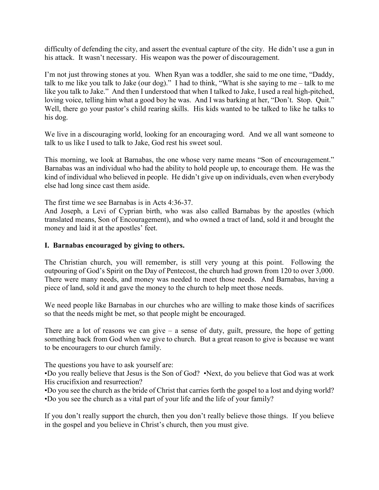difficulty of defending the city, and assert the eventual capture of the city. He didn't use a gun in his attack. It wasn't necessary. His weapon was the power of discouragement.

I'm not just throwing stones at you. When Ryan was a toddler, she said to me one time, "Daddy, talk to me like you talk to Jake (our dog)." I had to think, "What is she saying to me – talk to me like you talk to Jake." And then I understood that when I talked to Jake, I used a real high-pitched, loving voice, telling him what a good boy he was. And I was barking at her, "Don't. Stop. Quit." Well, there go your pastor's child rearing skills. His kids wanted to be talked to like he talks to his dog.

We live in a discouraging world, looking for an encouraging word. And we all want someone to talk to us like I used to talk to Jake, God rest his sweet soul.

This morning, we look at Barnabas, the one whose very name means "Son of encouragement." Barnabas was an individual who had the ability to hold people up, to encourage them. He was the kind of individual who believed in people. He didn't give up on individuals, even when everybody else had long since cast them aside.

The first time we see Barnabas is in Acts 4:36-37.

And Joseph, a Levi of Cyprian birth, who was also called Barnabas by the apostles (which translated means, Son of Encouragement), and who owned a tract of land, sold it and brought the money and laid it at the apostles' feet.

#### **I. Barnabas encouraged by giving to others.**

The Christian church, you will remember, is still very young at this point. Following the outpouring of God's Spirit on the Day of Pentecost, the church had grown from 120 to over 3,000. There were many needs, and money was needed to meet those needs. And Barnabas, having a piece of land, sold it and gave the money to the church to help meet those needs.

We need people like Barnabas in our churches who are willing to make those kinds of sacrifices so that the needs might be met, so that people might be encouraged.

There are a lot of reasons we can give – a sense of duty, guilt, pressure, the hope of getting something back from God when we give to church. But a great reason to give is because we want to be encouragers to our church family.

The questions you have to ask yourself are:

•Do you really believe that Jesus is the Son of God? •Next, do you believe that God was at work His crucifixion and resurrection?

•Do you see the church as the bride of Christ that carries forth the gospel to a lost and dying world? •Do you see the church as a vital part of your life and the life of your family?

If you don't really support the church, then you don't really believe those things. If you believe in the gospel and you believe in Christ's church, then you must give.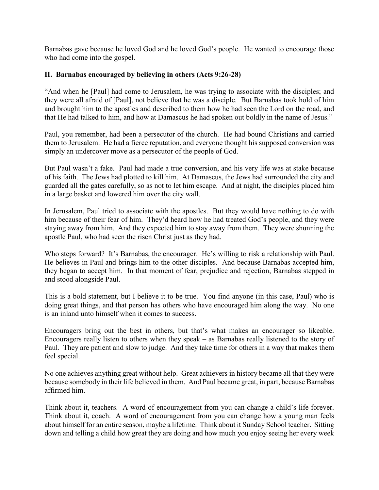Barnabas gave because he loved God and he loved God's people. He wanted to encourage those who had come into the gospel.

## **II. Barnabas encouraged by believing in others (Acts 9:26-28)**

"And when he [Paul] had come to Jerusalem, he was trying to associate with the disciples; and they were all afraid of [Paul], not believe that he was a disciple. But Barnabas took hold of him and brought him to the apostles and described to them how he had seen the Lord on the road, and that He had talked to him, and how at Damascus he had spoken out boldly in the name of Jesus."

Paul, you remember, had been a persecutor of the church. He had bound Christians and carried them to Jerusalem. He had a fierce reputation, and everyone thought his supposed conversion was simply an undercover move as a persecutor of the people of God.

But Paul wasn't a fake. Paul had made a true conversion, and his very life was at stake because of his faith. The Jews had plotted to kill him. At Damascus, the Jews had surrounded the city and guarded all the gates carefully, so as not to let him escape. And at night, the disciples placed him in a large basket and lowered him over the city wall.

In Jerusalem, Paul tried to associate with the apostles. But they would have nothing to do with him because of their fear of him. They'd heard how he had treated God's people, and they were staying away from him. And they expected him to stay away from them. They were shunning the apostle Paul, who had seen the risen Christ just as they had.

Who steps forward? It's Barnabas, the encourager. He's willing to risk a relationship with Paul. He believes in Paul and brings him to the other disciples. And because Barnabas accepted him, they began to accept him. In that moment of fear, prejudice and rejection, Barnabas stepped in and stood alongside Paul.

This is a bold statement, but I believe it to be true. You find anyone (in this case, Paul) who is doing great things, and that person has others who have encouraged him along the way. No one is an inland unto himself when it comes to success.

Encouragers bring out the best in others, but that's what makes an encourager so likeable. Encouragers really listen to others when they speak – as Barnabas really listened to the story of Paul. They are patient and slow to judge. And they take time for others in a way that makes them feel special.

No one achieves anything great without help. Great achievers in history became all that they were because somebody in their life believed in them. And Paul became great, in part, because Barnabas affirmed him.

Think about it, teachers. A word of encouragement from you can change a child's life forever. Think about it, coach. A word of encouragement from you can change how a young man feels about himself for an entire season, maybe a lifetime. Think about it Sunday School teacher. Sitting down and telling a child how great they are doing and how much you enjoy seeing her every week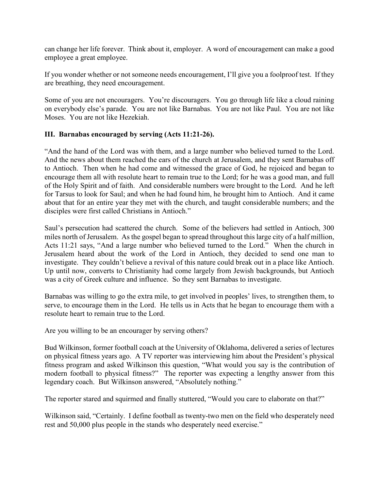can change her life forever. Think about it, employer. A word of encouragement can make a good employee a great employee.

If you wonder whether or not someone needs encouragement, I'll give you a foolproof test. If they are breathing, they need encouragement.

Some of you are not encouragers. You're discouragers. You go through life like a cloud raining on everybody else's parade. You are not like Barnabas. You are not like Paul. You are not like Moses. You are not like Hezekiah.

## **III. Barnabas encouraged by serving (Acts 11:21-26).**

"And the hand of the Lord was with them, and a large number who believed turned to the Lord. And the news about them reached the ears of the church at Jerusalem, and they sent Barnabas off to Antioch. Then when he had come and witnessed the grace of God, he rejoiced and began to encourage them all with resolute heart to remain true to the Lord; for he was a good man, and full of the Holy Spirit and of faith. And considerable numbers were brought to the Lord. And he left for Tarsus to look for Saul; and when he had found him, he brought him to Antioch. And it came about that for an entire year they met with the church, and taught considerable numbers; and the disciples were first called Christians in Antioch."

Saul's persecution had scattered the church. Some of the believers had settled in Antioch, 300 miles north of Jerusalem. As the gospel began to spread throughout this large city of a half million, Acts 11:21 says, "And a large number who believed turned to the Lord." When the church in Jerusalem heard about the work of the Lord in Antioch, they decided to send one man to investigate. They couldn't believe a revival of this nature could break out in a place like Antioch. Up until now, converts to Christianity had come largely from Jewish backgrounds, but Antioch was a city of Greek culture and influence. So they sent Barnabas to investigate.

Barnabas was willing to go the extra mile, to get involved in peoples' lives, to strengthen them, to serve, to encourage them in the Lord. He tells us in Acts that he began to encourage them with a resolute heart to remain true to the Lord.

Are you willing to be an encourager by serving others?

Bud Wilkinson, former football coach at the University of Oklahoma, delivered a series of lectures on physical fitness years ago. A TV reporter was interviewing him about the President's physical fitness program and asked Wilkinson this question, "What would you say is the contribution of modern football to physical fitness?" The reporter was expecting a lengthy answer from this legendary coach. But Wilkinson answered, "Absolutely nothing."

The reporter stared and squirmed and finally stuttered, "Would you care to elaborate on that?"

Wilkinson said, "Certainly. I define football as twenty-two men on the field who desperately need rest and 50,000 plus people in the stands who desperately need exercise."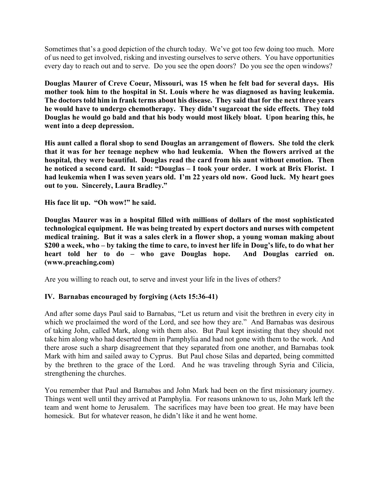Sometimes that's a good depiction of the church today. We've got too few doing too much. More of us need to get involved, risking and investing ourselves to serve others. You have opportunities every day to reach out and to serve. Do you see the open doors? Do you see the open windows?

**Douglas Maurer of Creve Coeur, Missouri, was 15 when he felt bad for several days. His mother took him to the hospital in St. Louis where he was diagnosed as having leukemia. The doctors told him in frank terms about his disease. They said that for the next three years he would have to undergo chemotherapy. They didn't sugarcoat the side effects. They told Douglas he would go bald and that his body would most likely bloat. Upon hearing this, he went into a deep depression.**

**His aunt called a floral shop to send Douglas an arrangement of flowers. She told the clerk that it was for her teenage nephew who had leukemia. When the flowers arrived at the hospital, they were beautiful. Douglas read the card from his aunt without emotion. Then he noticed a second card. It said: "Douglas – I took your order. I work at Brix Florist. I had leukemia when I was seven years old. I'm 22 years old now. Good luck. My heart goes out to you. Sincerely, Laura Bradley."**

**His face lit up. "Oh wow!" he said.**

**Douglas Maurer was in a hospital filled with millions of dollars of the most sophisticated technological equipment. He was being treated by expert doctors and nurses with competent medical training. But it was a sales clerk in a flower shop, a young woman making about \$200 a week, who – by taking the time to care, to invest her life in Doug's life, to do what her heart told her to do – who gave Douglas hope. And Douglas carried on. (www.preaching.com)**

Are you willing to reach out, to serve and invest your life in the lives of others?

# **IV. Barnabas encouraged by forgiving (Acts 15:36-41)**

And after some days Paul said to Barnabas, "Let us return and visit the brethren in every city in which we proclaimed the word of the Lord, and see how they are." And Barnabas was desirous of taking John, called Mark, along with them also. But Paul kept insisting that they should not take him along who had deserted them in Pamphylia and had not gone with them to the work. And there arose such a sharp disagreement that they separated from one another, and Barnabas took Mark with him and sailed away to Cyprus. But Paul chose Silas and departed, being committed by the brethren to the grace of the Lord. And he was traveling through Syria and Cilicia, strengthening the churches.

You remember that Paul and Barnabas and John Mark had been on the first missionary journey. Things went well until they arrived at Pamphylia. For reasons unknown to us, John Mark left the team and went home to Jerusalem. The sacrifices may have been too great. He may have been homesick. But for whatever reason, he didn't like it and he went home.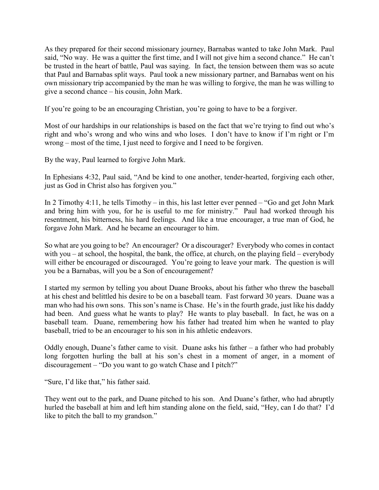As they prepared for their second missionary journey, Barnabas wanted to take John Mark. Paul said, "No way. He was a quitter the first time, and I will not give him a second chance." He can't be trusted in the heart of battle, Paul was saying. In fact, the tension between them was so acute that Paul and Barnabas split ways. Paul took a new missionary partner, and Barnabas went on his own missionary trip accompanied by the man he was willing to forgive, the man he was willing to give a second chance – his cousin, John Mark.

If you're going to be an encouraging Christian, you're going to have to be a forgiver.

Most of our hardships in our relationships is based on the fact that we're trying to find out who's right and who's wrong and who wins and who loses. I don't have to know if I'm right or I'm wrong – most of the time, I just need to forgive and I need to be forgiven.

By the way, Paul learned to forgive John Mark.

In Ephesians 4:32, Paul said, "And be kind to one another, tender-hearted, forgiving each other, just as God in Christ also has forgiven you."

In 2 Timothy 4:11, he tells Timothy – in this, his last letter ever penned – "Go and get John Mark and bring him with you, for he is useful to me for ministry." Paul had worked through his resentment, his bitterness, his hard feelings. And like a true encourager, a true man of God, he forgave John Mark. And he became an encourager to him.

So what are you going to be? An encourager? Or a discourager? Everybody who comes in contact with you – at school, the hospital, the bank, the office, at church, on the playing field – everybody will either be encouraged or discouraged. You're going to leave your mark. The question is will you be a Barnabas, will you be a Son of encouragement?

I started my sermon by telling you about Duane Brooks, about his father who threw the baseball at his chest and belittled his desire to be on a baseball team. Fast forward 30 years. Duane was a man who had his own sons. This son's name is Chase. He's in the fourth grade, just like his daddy had been. And guess what he wants to play? He wants to play baseball. In fact, he was on a baseball team. Duane, remembering how his father had treated him when he wanted to play baseball, tried to be an encourager to his son in his athletic endeavors.

Oddly enough, Duane's father came to visit. Duane asks his father – a father who had probably long forgotten hurling the ball at his son's chest in a moment of anger, in a moment of discouragement – "Do you want to go watch Chase and I pitch?"

"Sure, I'd like that," his father said.

They went out to the park, and Duane pitched to his son. And Duane's father, who had abruptly hurled the baseball at him and left him standing alone on the field, said, "Hey, can I do that? I'd like to pitch the ball to my grandson."